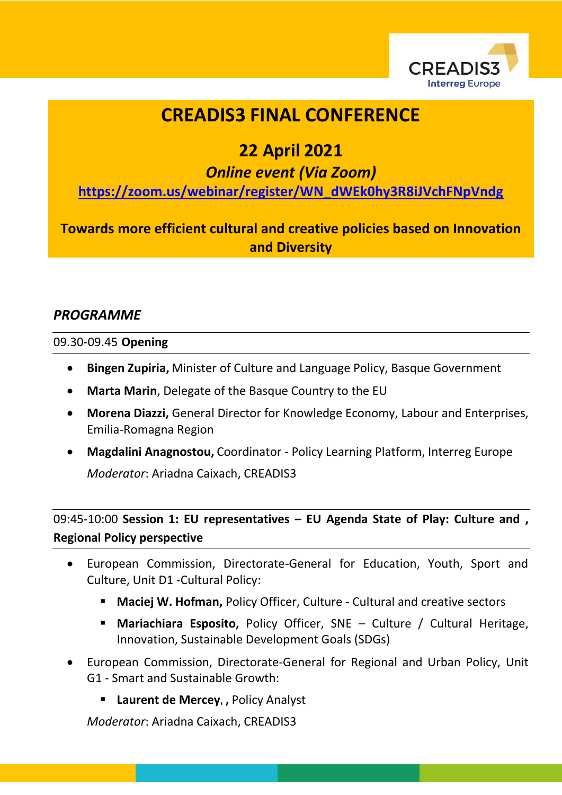

# **CREADIS3 FINAL CONFERENCE**

# **22 April 2021**

*Online event (Via Zoom)*

**[https://zoom.us/webinar/register/WN\\_dWEk0hy3R8iJVchFNpVndg](https://zoom.us/webinar/register/WN_dWEk0hy3R8iJVchFNpVndg)**

**Towards more efficient cultural and creative policies based on Innovation and Diversity**

### *PROGRAMME*

#### 09.30-09.45 **Opening**

- **Bingen Zupiria,** Minister of Culture and Language Policy, Basque Government
- **Marta Marin**, Delegate of the Basque Country to the EU
- **Morena Diazzi,** General Director for Knowledge Economy, Labour and Enterprises, Emilia-Romagna Region
- **Magdalini Anagnostou,** Coordinator Policy Learning Platform, Interreg Europe *Moderator*: Ariadna Caixach, CREADIS3

## 09:45-10:00 **Session 1: EU representatives – EU Agenda State of Play: Culture and , Regional Policy perspective**

- European Commission, Directorate-General for Education, Youth, Sport and Culture, Unit D1 -Cultural Policy:
	- **Maciej W. Hofman,** Policy Officer, Culture Cultural and creative sectors
	- **Mariachiara Esposito,** Policy Officer, SNE Culture / Cultural Heritage, Innovation, Sustainable Development Goals (SDGs)
- European Commission, Directorate-General for Regional and Urban Policy, Unit G1 - Smart and Sustainable Growth:
	- **Laurent de Mercey, ,** Policy Analyst

*Moderator*: Ariadna Caixach, CREADIS3